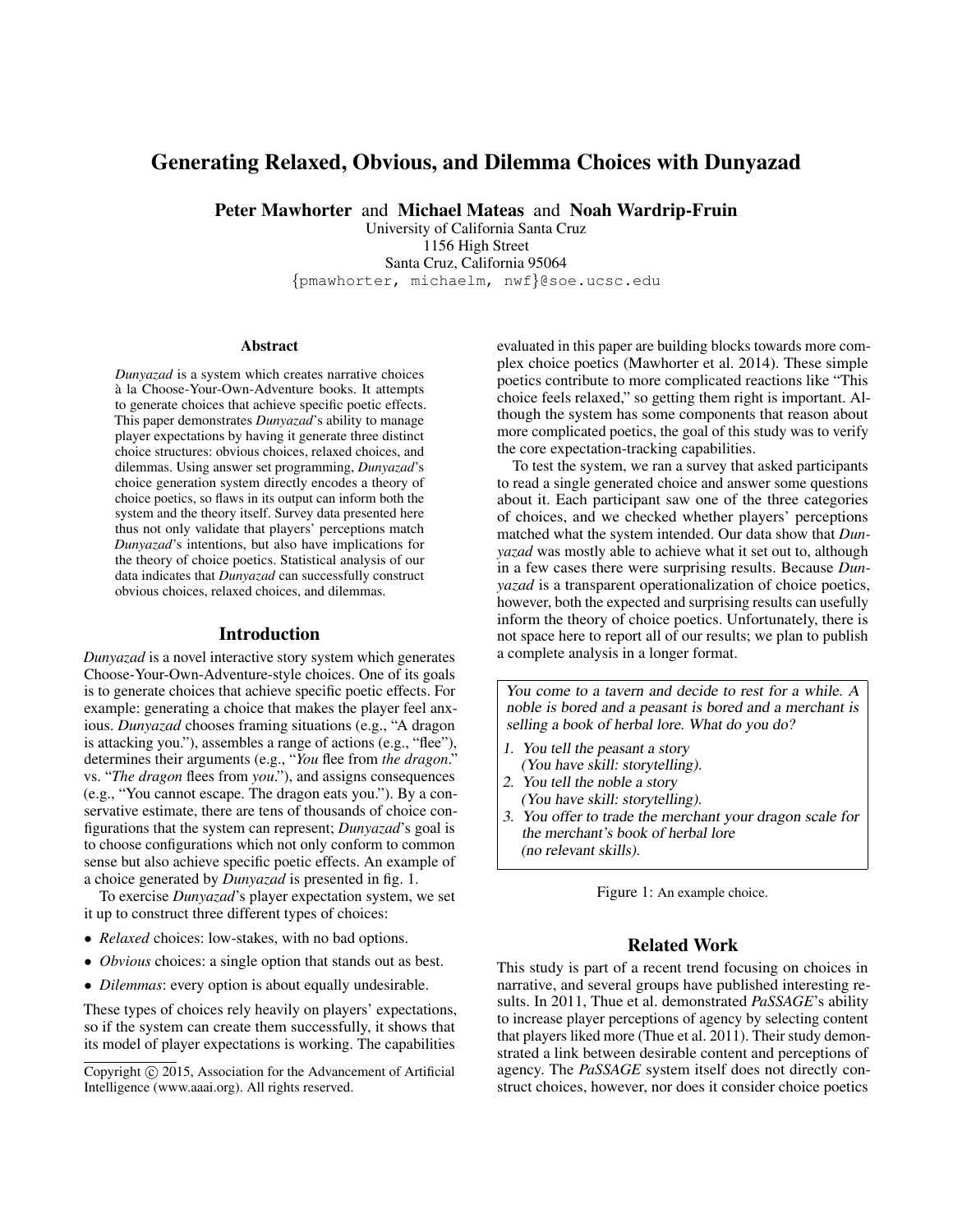# Generating Relaxed, Obvious, and Dilemma Choices with Dunyazad

Peter Mawhorter and Michael Mateas and Noah Wardrip-Fruin

University of California Santa Cruz 1156 High Street Santa Cruz, California 95064 {pmawhorter, michaelm, nwf}@soe.ucsc.edu

#### Abstract

*Dunyazad* is a system which creates narrative choices a la Choose-Your-Own-Adventure books. It attempts ` to generate choices that achieve specific poetic effects. This paper demonstrates *Dunyazad*'s ability to manage player expectations by having it generate three distinct choice structures: obvious choices, relaxed choices, and dilemmas. Using answer set programming, *Dunyazad*'s choice generation system directly encodes a theory of choice poetics, so flaws in its output can inform both the system and the theory itself. Survey data presented here thus not only validate that players' perceptions match *Dunyazad*'s intentions, but also have implications for the theory of choice poetics. Statistical analysis of our data indicates that *Dunyazad* can successfully construct obvious choices, relaxed choices, and dilemmas.

## Introduction

*Dunyazad* is a novel interactive story system which generates Choose-Your-Own-Adventure-style choices. One of its goals is to generate choices that achieve specific poetic effects. For example: generating a choice that makes the player feel anxious. *Dunyazad* chooses framing situations (e.g., "A dragon is attacking you."), assembles a range of actions (e.g., "flee"), determines their arguments (e.g., "*You* flee from *the dragon*." vs. "*The dragon* flees from *you*."), and assigns consequences (e.g., "You cannot escape. The dragon eats you."). By a conservative estimate, there are tens of thousands of choice configurations that the system can represent; *Dunyazad*'s goal is to choose configurations which not only conform to common sense but also achieve specific poetic effects. An example of a choice generated by *Dunyazad* is presented in fig. 1.

To exercise *Dunyazad*'s player expectation system, we set it up to construct three different types of choices:

- *Relaxed* choices: low-stakes, with no bad options.
- *Obvious* choices: a single option that stands out as best.
- *Dilemmas*: every option is about equally undesirable.

These types of choices rely heavily on players' expectations, so if the system can create them successfully, it shows that its model of player expectations is working. The capabilities

evaluated in this paper are building blocks towards more complex choice poetics (Mawhorter et al. 2014). These simple poetics contribute to more complicated reactions like "This choice feels relaxed," so getting them right is important. Although the system has some components that reason about more complicated poetics, the goal of this study was to verify the core expectation-tracking capabilities.

To test the system, we ran a survey that asked participants to read a single generated choice and answer some questions about it. Each participant saw one of the three categories of choices, and we checked whether players' perceptions matched what the system intended. Our data show that *Dunyazad* was mostly able to achieve what it set out to, although in a few cases there were surprising results. Because *Dunyazad* is a transparent operationalization of choice poetics, however, both the expected and surprising results can usefully inform the theory of choice poetics. Unfortunately, there is not space here to report all of our results; we plan to publish a complete analysis in a longer format.

You come to a tavern and decide to rest for a while. A noble is bored and a peasant is bored and a merchant is selling a book of herbal lore. What do you do?

- 1. You tell the peasant a story (You have skill: storytelling).
- 2. You tell the noble a story
- (You have skill: storytelling).
- 3. You offer to trade the merchant your dragon scale for the merchant's book of herbal lore (no relevant skills).

Figure 1: An example choice.

# Related Work

This study is part of a recent trend focusing on choices in narrative, and several groups have published interesting results. In 2011, Thue et al. demonstrated *PaSSAGE*'s ability to increase player perceptions of agency by selecting content that players liked more (Thue et al. 2011). Their study demonstrated a link between desirable content and perceptions of agency. The *PaSSAGE* system itself does not directly construct choices, however, nor does it consider choice poetics

Copyright (c) 2015, Association for the Advancement of Artificial Intelligence (www.aaai.org). All rights reserved.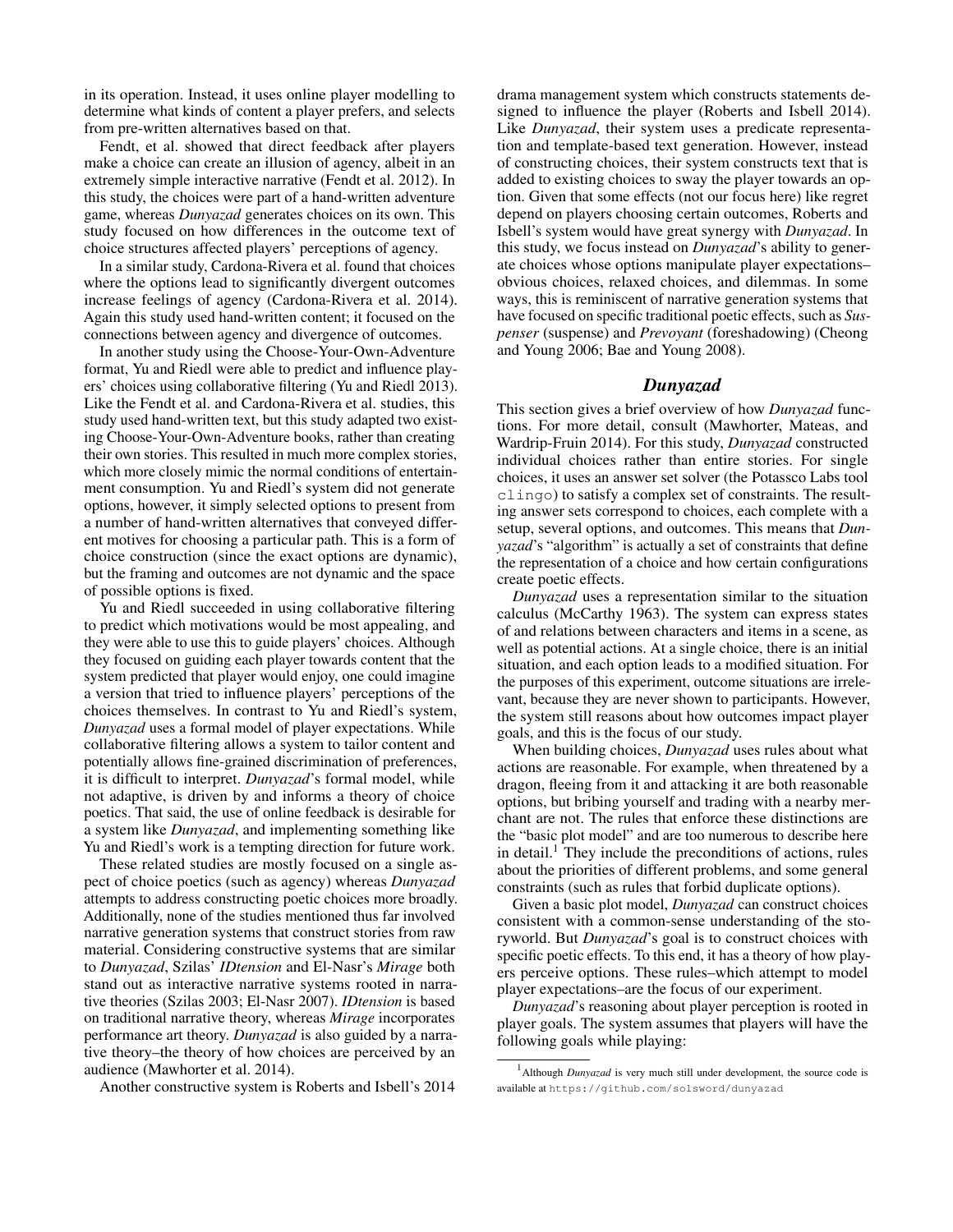in its operation. Instead, it uses online player modelling to determine what kinds of content a player prefers, and selects from pre-written alternatives based on that.

Fendt, et al. showed that direct feedback after players make a choice can create an illusion of agency, albeit in an extremely simple interactive narrative (Fendt et al. 2012). In this study, the choices were part of a hand-written adventure game, whereas *Dunyazad* generates choices on its own. This study focused on how differences in the outcome text of choice structures affected players' perceptions of agency.

In a similar study, Cardona-Rivera et al. found that choices where the options lead to significantly divergent outcomes increase feelings of agency (Cardona-Rivera et al. 2014). Again this study used hand-written content; it focused on the connections between agency and divergence of outcomes.

In another study using the Choose-Your-Own-Adventure format, Yu and Riedl were able to predict and influence players' choices using collaborative filtering (Yu and Riedl 2013). Like the Fendt et al. and Cardona-Rivera et al. studies, this study used hand-written text, but this study adapted two existing Choose-Your-Own-Adventure books, rather than creating their own stories. This resulted in much more complex stories, which more closely mimic the normal conditions of entertainment consumption. Yu and Riedl's system did not generate options, however, it simply selected options to present from a number of hand-written alternatives that conveyed different motives for choosing a particular path. This is a form of choice construction (since the exact options are dynamic), but the framing and outcomes are not dynamic and the space of possible options is fixed.

Yu and Riedl succeeded in using collaborative filtering to predict which motivations would be most appealing, and they were able to use this to guide players' choices. Although they focused on guiding each player towards content that the system predicted that player would enjoy, one could imagine a version that tried to influence players' perceptions of the choices themselves. In contrast to Yu and Riedl's system, *Dunyazad* uses a formal model of player expectations. While collaborative filtering allows a system to tailor content and potentially allows fine-grained discrimination of preferences, it is difficult to interpret. *Dunyazad*'s formal model, while not adaptive, is driven by and informs a theory of choice poetics. That said, the use of online feedback is desirable for a system like *Dunyazad*, and implementing something like Yu and Riedl's work is a tempting direction for future work.

These related studies are mostly focused on a single aspect of choice poetics (such as agency) whereas *Dunyazad* attempts to address constructing poetic choices more broadly. Additionally, none of the studies mentioned thus far involved narrative generation systems that construct stories from raw material. Considering constructive systems that are similar to *Dunyazad*, Szilas' *IDtension* and El-Nasr's *Mirage* both stand out as interactive narrative systems rooted in narrative theories (Szilas 2003; El-Nasr 2007). *IDtension* is based on traditional narrative theory, whereas *Mirage* incorporates performance art theory. *Dunyazad* is also guided by a narrative theory–the theory of how choices are perceived by an audience (Mawhorter et al. 2014).

Another constructive system is Roberts and Isbell's 2014

drama management system which constructs statements designed to influence the player (Roberts and Isbell 2014). Like *Dunyazad*, their system uses a predicate representation and template-based text generation. However, instead of constructing choices, their system constructs text that is added to existing choices to sway the player towards an option. Given that some effects (not our focus here) like regret depend on players choosing certain outcomes, Roberts and Isbell's system would have great synergy with *Dunyazad*. In this study, we focus instead on *Dunyazad*'s ability to generate choices whose options manipulate player expectations– obvious choices, relaxed choices, and dilemmas. In some ways, this is reminiscent of narrative generation systems that have focused on specific traditional poetic effects, such as *Suspenser* (suspense) and *Prevoyant* (foreshadowing) (Cheong and Young 2006; Bae and Young 2008).

# *Dunyazad*

This section gives a brief overview of how *Dunyazad* functions. For more detail, consult (Mawhorter, Mateas, and Wardrip-Fruin 2014). For this study, *Dunyazad* constructed individual choices rather than entire stories. For single choices, it uses an answer set solver (the Potassco Labs tool clingo) to satisfy a complex set of constraints. The resulting answer sets correspond to choices, each complete with a setup, several options, and outcomes. This means that *Dunyazad*'s "algorithm" is actually a set of constraints that define the representation of a choice and how certain configurations create poetic effects.

*Dunyazad* uses a representation similar to the situation calculus (McCarthy 1963). The system can express states of and relations between characters and items in a scene, as well as potential actions. At a single choice, there is an initial situation, and each option leads to a modified situation. For the purposes of this experiment, outcome situations are irrelevant, because they are never shown to participants. However, the system still reasons about how outcomes impact player goals, and this is the focus of our study.

When building choices, *Dunyazad* uses rules about what actions are reasonable. For example, when threatened by a dragon, fleeing from it and attacking it are both reasonable options, but bribing yourself and trading with a nearby merchant are not. The rules that enforce these distinctions are the "basic plot model" and are too numerous to describe here in detail.<sup>1</sup> They include the preconditions of actions, rules about the priorities of different problems, and some general constraints (such as rules that forbid duplicate options).

Given a basic plot model, *Dunyazad* can construct choices consistent with a common-sense understanding of the storyworld. But *Dunyazad*'s goal is to construct choices with specific poetic effects. To this end, it has a theory of how players perceive options. These rules–which attempt to model player expectations–are the focus of our experiment.

*Dunyazad*'s reasoning about player perception is rooted in player goals. The system assumes that players will have the following goals while playing:

<sup>&</sup>lt;sup>1</sup> Although *Dunyazad* is very much still under development, the source code is available at https://github.com/solsword/dunyazad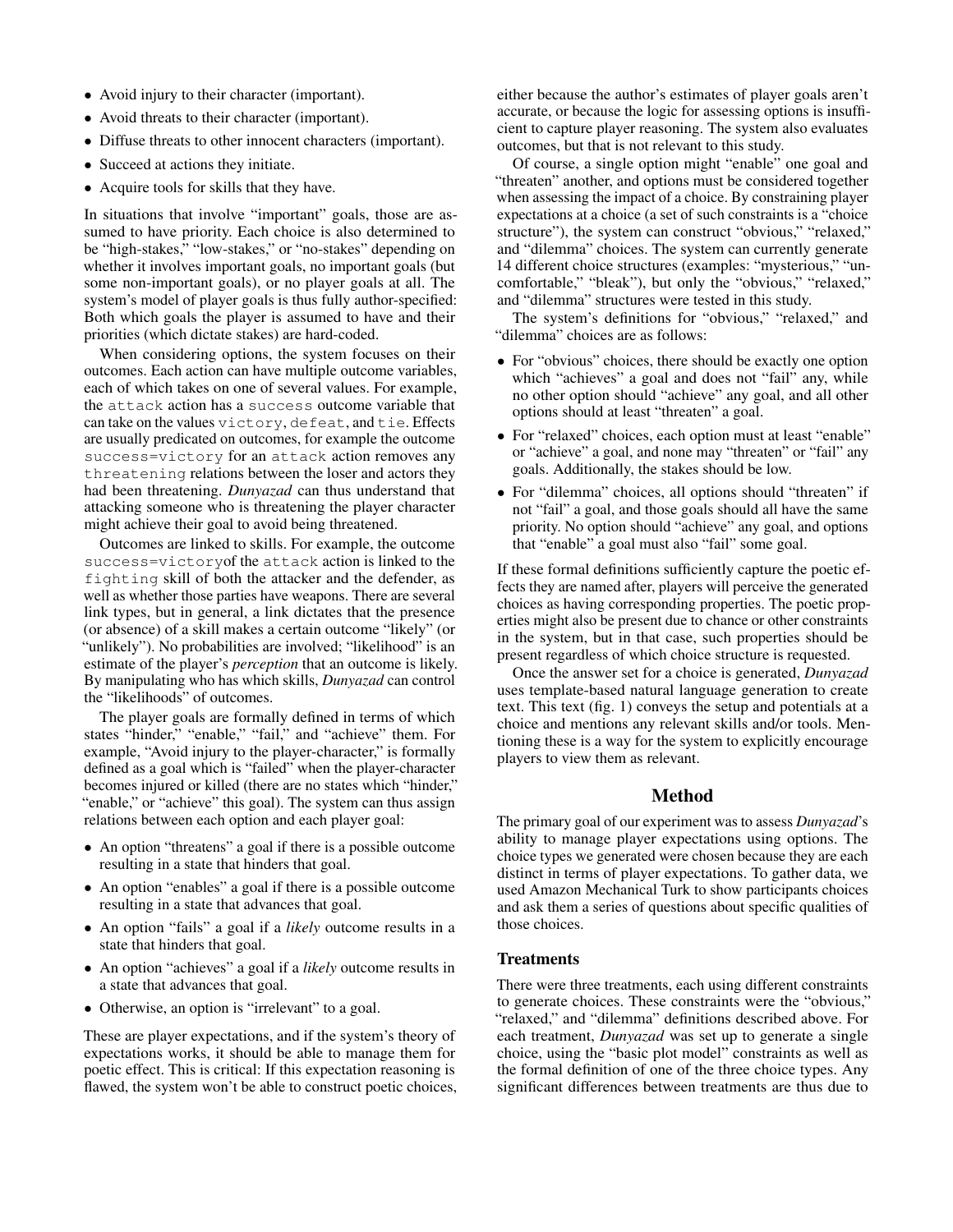- Avoid injury to their character (important).
- Avoid threats to their character (important).
- Diffuse threats to other innocent characters (important).
- Succeed at actions they initiate.
- Acquire tools for skills that they have.

In situations that involve "important" goals, those are assumed to have priority. Each choice is also determined to be "high-stakes," "low-stakes," or "no-stakes" depending on whether it involves important goals, no important goals (but some non-important goals), or no player goals at all. The system's model of player goals is thus fully author-specified: Both which goals the player is assumed to have and their priorities (which dictate stakes) are hard-coded.

When considering options, the system focuses on their outcomes. Each action can have multiple outcome variables, each of which takes on one of several values. For example, the attack action has a success outcome variable that can take on the values victory, defeat, and tie. Effects are usually predicated on outcomes, for example the outcome success=victory for an attack action removes any threatening relations between the loser and actors they had been threatening. *Dunyazad* can thus understand that attacking someone who is threatening the player character might achieve their goal to avoid being threatened.

Outcomes are linked to skills. For example, the outcome success=victoryof the attack action is linked to the fighting skill of both the attacker and the defender, as well as whether those parties have weapons. There are several link types, but in general, a link dictates that the presence (or absence) of a skill makes a certain outcome "likely" (or "unlikely"). No probabilities are involved; "likelihood" is an estimate of the player's *perception* that an outcome is likely. By manipulating who has which skills, *Dunyazad* can control the "likelihoods" of outcomes.

The player goals are formally defined in terms of which states "hinder," "enable," "fail," and "achieve" them. For example, "Avoid injury to the player-character," is formally defined as a goal which is "failed" when the player-character becomes injured or killed (there are no states which "hinder," "enable," or "achieve" this goal). The system can thus assign relations between each option and each player goal:

- An option "threatens" a goal if there is a possible outcome resulting in a state that hinders that goal.
- An option "enables" a goal if there is a possible outcome resulting in a state that advances that goal.
- An option "fails" a goal if a *likely* outcome results in a state that hinders that goal.
- An option "achieves" a goal if a *likely* outcome results in a state that advances that goal.
- Otherwise, an option is "irrelevant" to a goal.

These are player expectations, and if the system's theory of expectations works, it should be able to manage them for poetic effect. This is critical: If this expectation reasoning is flawed, the system won't be able to construct poetic choices,

either because the author's estimates of player goals aren't accurate, or because the logic for assessing options is insufficient to capture player reasoning. The system also evaluates outcomes, but that is not relevant to this study.

Of course, a single option might "enable" one goal and "threaten" another, and options must be considered together when assessing the impact of a choice. By constraining player expectations at a choice (a set of such constraints is a "choice structure"), the system can construct "obvious," "relaxed," and "dilemma" choices. The system can currently generate 14 different choice structures (examples: "mysterious," "uncomfortable," "bleak"), but only the "obvious," "relaxed," and "dilemma" structures were tested in this study.

The system's definitions for "obvious," "relaxed," and "dilemma" choices are as follows:

- For "obvious" choices, there should be exactly one option which "achieves" a goal and does not "fail" any, while no other option should "achieve" any goal, and all other options should at least "threaten" a goal.
- For "relaxed" choices, each option must at least "enable" or "achieve" a goal, and none may "threaten" or "fail" any goals. Additionally, the stakes should be low.
- For "dilemma" choices, all options should "threaten" if not "fail" a goal, and those goals should all have the same priority. No option should "achieve" any goal, and options that "enable" a goal must also "fail" some goal.

If these formal definitions sufficiently capture the poetic effects they are named after, players will perceive the generated choices as having corresponding properties. The poetic properties might also be present due to chance or other constraints in the system, but in that case, such properties should be present regardless of which choice structure is requested.

Once the answer set for a choice is generated, *Dunyazad* uses template-based natural language generation to create text. This text (fig. 1) conveys the setup and potentials at a choice and mentions any relevant skills and/or tools. Mentioning these is a way for the system to explicitly encourage players to view them as relevant.

# Method

The primary goal of our experiment was to assess *Dunyazad*'s ability to manage player expectations using options. The choice types we generated were chosen because they are each distinct in terms of player expectations. To gather data, we used Amazon Mechanical Turk to show participants choices and ask them a series of questions about specific qualities of those choices.

## **Treatments**

There were three treatments, each using different constraints to generate choices. These constraints were the "obvious," "relaxed," and "dilemma" definitions described above. For each treatment, *Dunyazad* was set up to generate a single choice, using the "basic plot model" constraints as well as the formal definition of one of the three choice types. Any significant differences between treatments are thus due to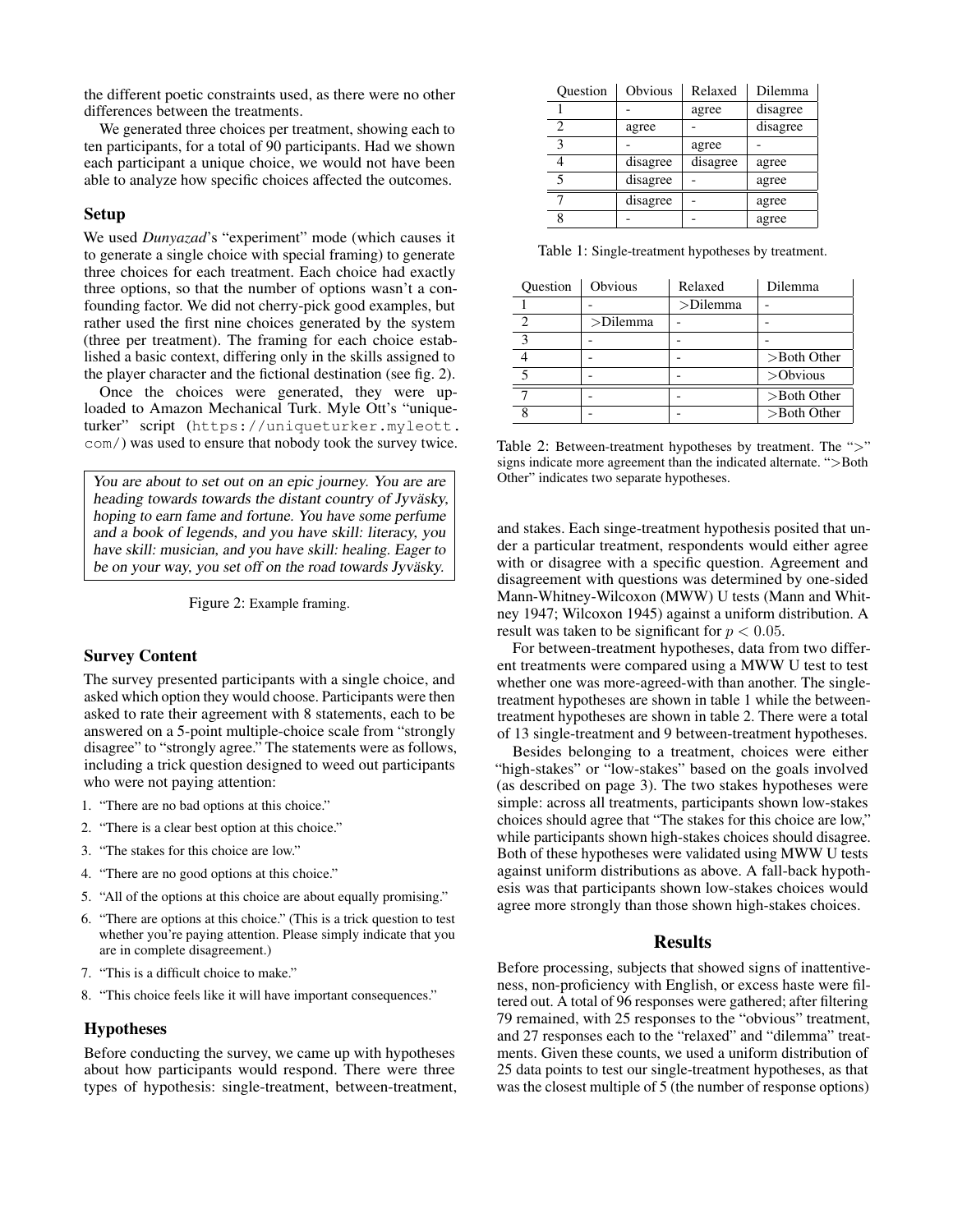the different poetic constraints used, as there were no other differences between the treatments.

We generated three choices per treatment, showing each to ten participants, for a total of 90 participants. Had we shown each participant a unique choice, we would not have been able to analyze how specific choices affected the outcomes.

## Setup

We used *Dunyazad*'s "experiment" mode (which causes it to generate a single choice with special framing) to generate three choices for each treatment. Each choice had exactly three options, so that the number of options wasn't a confounding factor. We did not cherry-pick good examples, but rather used the first nine choices generated by the system (three per treatment). The framing for each choice established a basic context, differing only in the skills assigned to the player character and the fictional destination (see fig. 2).

Once the choices were generated, they were uploaded to Amazon Mechanical Turk. Myle Ott's "uniqueturker" script (https://uniqueturker.myleott. com/) was used to ensure that nobody took the survey twice.

You are about to set out on an epic journey. You are are heading towards towards the distant country of Jyväsky, hoping to earn fame and fortune. You have some perfume and a book of legends, and you have skill: literacy, you have skill: musician, and you have skill: healing. Eager to be on your way, you set off on the road towards Jyväsky.

Figure 2: Example framing.

### Survey Content

The survey presented participants with a single choice, and asked which option they would choose. Participants were then asked to rate their agreement with 8 statements, each to be answered on a 5-point multiple-choice scale from "strongly disagree" to "strongly agree." The statements were as follows, including a trick question designed to weed out participants who were not paying attention:

- 1. "There are no bad options at this choice."
- 2. "There is a clear best option at this choice."
- 3. "The stakes for this choice are low."
- 4. "There are no good options at this choice."
- 5. "All of the options at this choice are about equally promising."
- 6. "There are options at this choice." (This is a trick question to test whether you're paying attention. Please simply indicate that you are in complete disagreement.)
- 7. "This is a difficult choice to make."
- 8. "This choice feels like it will have important consequences."

### Hypotheses

Before conducting the survey, we came up with hypotheses about how participants would respond. There were three types of hypothesis: single-treatment, between-treatment,

| Question | Obvious  | Relaxed  | Dilemma  |
|----------|----------|----------|----------|
|          |          | agree    | disagree |
| 2        | agree    |          | disagree |
| κ        |          | agree    |          |
|          | disagree | disagree | agree    |
| 5        | disagree |          | agree    |
|          | disagree |          | agree    |
|          |          |          | agree    |

Table 1: Single-treatment hypotheses by treatment.

| Ouestion | Obvious     | Relaxed     | Dilemma        |
|----------|-------------|-------------|----------------|
|          |             | $>$ Dilemma |                |
|          | $>$ Dilemma |             |                |
|          |             |             |                |
|          |             |             | $>$ Both Other |
|          |             |             | $>$ Obvious    |
|          |             |             | $>$ Both Other |
|          |             |             | $>$ Both Other |

Table 2: Between-treatment hypotheses by treatment. The ">" signs indicate more agreement than the indicated alternate. ">Both Other" indicates two separate hypotheses.

and stakes. Each singe-treatment hypothesis posited that under a particular treatment, respondents would either agree with or disagree with a specific question. Agreement and disagreement with questions was determined by one-sided Mann-Whitney-Wilcoxon (MWW) U tests (Mann and Whitney 1947; Wilcoxon 1945) against a uniform distribution. A result was taken to be significant for  $p < 0.05$ .

For between-treatment hypotheses, data from two different treatments were compared using a MWW U test to test whether one was more-agreed-with than another. The singletreatment hypotheses are shown in table 1 while the betweentreatment hypotheses are shown in table 2. There were a total of 13 single-treatment and 9 between-treatment hypotheses.

Besides belonging to a treatment, choices were either "high-stakes" or "low-stakes" based on the goals involved (as described on page 3). The two stakes hypotheses were simple: across all treatments, participants shown low-stakes choices should agree that "The stakes for this choice are low," while participants shown high-stakes choices should disagree. Both of these hypotheses were validated using MWW U tests against uniform distributions as above. A fall-back hypothesis was that participants shown low-stakes choices would agree more strongly than those shown high-stakes choices.

#### Results

Before processing, subjects that showed signs of inattentiveness, non-proficiency with English, or excess haste were filtered out. A total of 96 responses were gathered; after filtering 79 remained, with 25 responses to the "obvious" treatment, and 27 responses each to the "relaxed" and "dilemma" treatments. Given these counts, we used a uniform distribution of 25 data points to test our single-treatment hypotheses, as that was the closest multiple of 5 (the number of response options)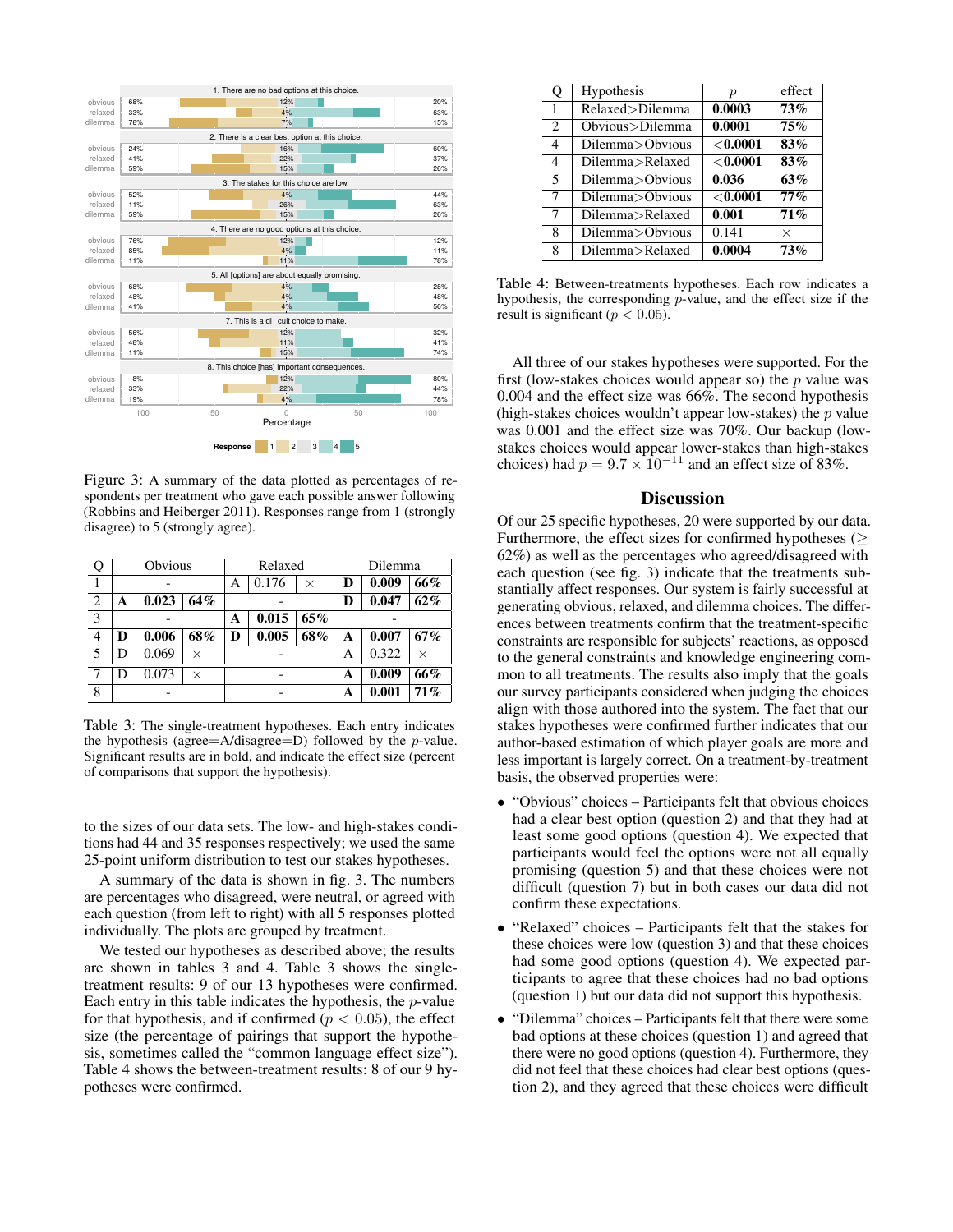

Figure 3: A summary of the data plotted as percentages of respondents per treatment who gave each possible answer following (Robbins and Heiberger 2011). Responses range from 1 (strongly disagree) to 5 (strongly agree).

| Q              |   | Obvious |          | Relaxed           |       | Dilemma |       |       |     |
|----------------|---|---------|----------|-------------------|-------|---------|-------|-------|-----|
|                |   |         | Α        | 0.176             | ×     | D       | 0.009 | 66%   |     |
| $\overline{2}$ | А | 0.023   | 64%      | 0.047<br>D        |       |         | 62%   |       |     |
| 3              |   |         |          | 0.015<br>65%<br>A |       |         |       |       |     |
| 4              | D | 0.006   | 68%      | D                 | 0.005 | 68%     | А     | 0.007 | 67% |
| 5              | D | 0.069   | X        |                   |       |         | А     | 0.322 | X   |
| 7              | D | 0.073   | $\times$ |                   |       | A       | 0.009 | 66%   |     |
| 8              |   |         |          |                   |       | A       | 0.001 | 71%   |     |

Table 3: The single-treatment hypotheses. Each entry indicates the hypothesis (agree=A/disagree=D) followed by the  $p$ -value. Significant results are in bold, and indicate the effect size (percent of comparisons that support the hypothesis).

to the sizes of our data sets. The low- and high-stakes conditions had 44 and 35 responses respectively; we used the same 25-point uniform distribution to test our stakes hypotheses.

A summary of the data is shown in fig. 3. The numbers are percentages who disagreed, were neutral, or agreed with each question (from left to right) with all 5 responses plotted individually. The plots are grouped by treatment.

We tested our hypotheses as described above; the results are shown in tables 3 and 4. Table 3 shows the singletreatment results: 9 of our 13 hypotheses were confirmed. Each entry in this table indicates the hypothesis, the  $p$ -value for that hypothesis, and if confirmed ( $p < 0.05$ ), the effect size (the percentage of pairings that support the hypothesis, sometimes called the "common language effect size"). Table 4 shows the between-treatment results: 8 of our 9 hypotheses were confirmed.

| Q | Hypothesis        | $\boldsymbol{p}$ | effect   |
|---|-------------------|------------------|----------|
| 1 | Relaxed>Dilemma   | 0.0003           | 73%      |
| 2 | Obvious > Dilemma | 0.0001           | 75%      |
| 4 | Dilemma>Obvious   | $<$ $0.0001$     | 83%      |
| 4 | Dilemma>Relaxed   | ${<}0.0001$      | 83%      |
| 5 | Dilemma>Obvious   | 0.036            | 63%      |
| 7 | Dilemma>Obvious   | ${<}0.0001$      | $77\%$   |
| 7 | Dilemma>Relaxed   | 0.001            | 71%      |
| 8 | Dilemma>Obvious   | 0.141            | $\times$ |
| 8 | Dilemma>Relaxed   | 0.0004           | 73%      |

Table 4: Between-treatments hypotheses. Each row indicates a hypothesis, the corresponding p-value, and the effect size if the result is significant ( $p < 0.05$ ).

All three of our stakes hypotheses were supported. For the first (low-stakes choices would appear so) the  $p$  value was 0.004 and the effect size was 66%. The second hypothesis (high-stakes choices wouldn't appear low-stakes) the  $p$  value was 0.001 and the effect size was 70%. Our backup (lowstakes choices would appear lower-stakes than high-stakes choices) had  $p = 9.7 \times 10^{-11}$  and an effect size of 83%.

## **Discussion**

Of our 25 specific hypotheses, 20 were supported by our data. Furthermore, the effect sizes for confirmed hypotheses ( $\geq$ 62%) as well as the percentages who agreed/disagreed with each question (see fig. 3) indicate that the treatments substantially affect responses. Our system is fairly successful at generating obvious, relaxed, and dilemma choices. The differences between treatments confirm that the treatment-specific constraints are responsible for subjects' reactions, as opposed to the general constraints and knowledge engineering common to all treatments. The results also imply that the goals our survey participants considered when judging the choices align with those authored into the system. The fact that our stakes hypotheses were confirmed further indicates that our author-based estimation of which player goals are more and less important is largely correct. On a treatment-by-treatment basis, the observed properties were:

- "Obvious" choices Participants felt that obvious choices had a clear best option (question 2) and that they had at least some good options (question 4). We expected that participants would feel the options were not all equally promising (question 5) and that these choices were not difficult (question 7) but in both cases our data did not confirm these expectations.
- "Relaxed" choices Participants felt that the stakes for these choices were low (question 3) and that these choices had some good options (question 4). We expected participants to agree that these choices had no bad options (question 1) but our data did not support this hypothesis.
- "Dilemma" choices Participants felt that there were some bad options at these choices (question 1) and agreed that there were no good options (question 4). Furthermore, they did not feel that these choices had clear best options (question 2), and they agreed that these choices were difficult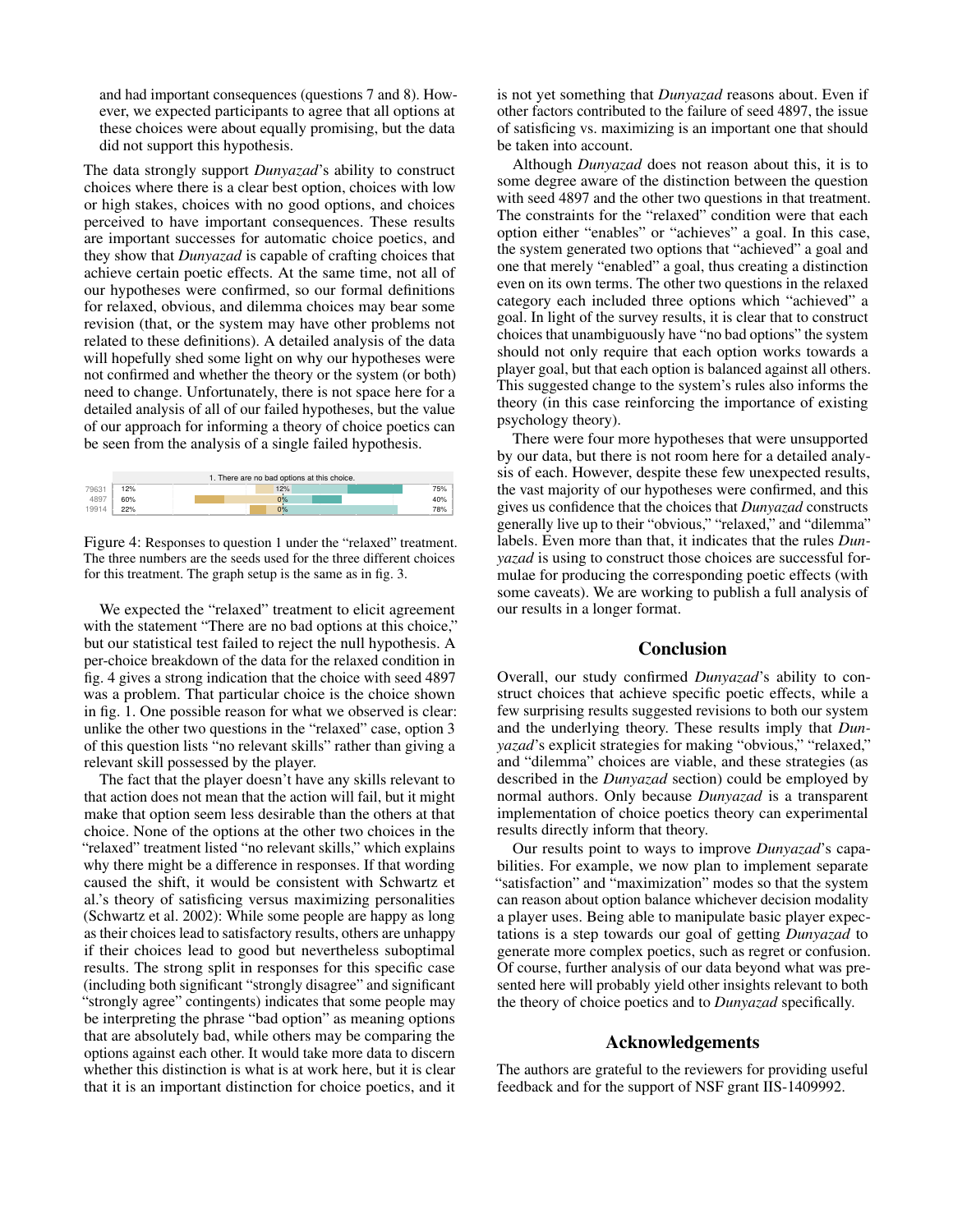and had important consequences (questions 7 and 8). However, we expected participants to agree that all options at these choices were about equally promising, but the data did not support this hypothesis.

The data strongly support *Dunyazad*'s ability to construct choices where there is a clear best option, choices with low or high stakes, choices with no good options, and choices perceived to have important consequences. These results are important successes for automatic choice poetics, and they show that *Dunyazad* is capable of crafting choices that achieve certain poetic effects. At the same time, not all of our hypotheses were confirmed, so our formal definitions for relaxed, obvious, and dilemma choices may bear some revision (that, or the system may have other problems not related to these definitions). A detailed analysis of the data will hopefully shed some light on why our hypotheses were not confirmed and whether the theory or the system (or both) need to change. Unfortunately, there is not space here for a detailed analysis of all of our failed hypotheses, but the value of our approach for informing a theory of choice poetics can be seen from the analysis of a single failed hypothesis.



Figure 4: Responses to question 1 under the "relaxed" treatment. The three numbers are the seeds used for the three different choices for this treatment. The graph setup is the same as in fig. 3.

We expected the "relaxed" treatment to elicit agreement with the statement "There are no bad options at this choice," but our statistical test failed to reject the null hypothesis. A per-choice breakdown of the data for the relaxed condition in fig. 4 gives a strong indication that the choice with seed 4897 was a problem. That particular choice is the choice shown in fig. 1. One possible reason for what we observed is clear: unlike the other two questions in the "relaxed" case, option 3 of this question lists "no relevant skills" rather than giving a relevant skill possessed by the player.

The fact that the player doesn't have any skills relevant to that action does not mean that the action will fail, but it might make that option seem less desirable than the others at that choice. None of the options at the other two choices in the "relaxed" treatment listed "no relevant skills," which explains why there might be a difference in responses. If that wording caused the shift, it would be consistent with Schwartz et al.'s theory of satisficing versus maximizing personalities (Schwartz et al. 2002): While some people are happy as long as their choices lead to satisfactory results, others are unhappy if their choices lead to good but nevertheless suboptimal results. The strong split in responses for this specific case (including both significant "strongly disagree" and significant "strongly agree" contingents) indicates that some people may be interpreting the phrase "bad option" as meaning options that are absolutely bad, while others may be comparing the options against each other. It would take more data to discern whether this distinction is what is at work here, but it is clear that it is an important distinction for choice poetics, and it is not yet something that *Dunyazad* reasons about. Even if other factors contributed to the failure of seed 4897, the issue of satisficing vs. maximizing is an important one that should be taken into account.

Although *Dunyazad* does not reason about this, it is to some degree aware of the distinction between the question with seed 4897 and the other two questions in that treatment. The constraints for the "relaxed" condition were that each option either "enables" or "achieves" a goal. In this case, the system generated two options that "achieved" a goal and one that merely "enabled" a goal, thus creating a distinction even on its own terms. The other two questions in the relaxed category each included three options which "achieved" a goal. In light of the survey results, it is clear that to construct choices that unambiguously have "no bad options" the system should not only require that each option works towards a player goal, but that each option is balanced against all others. This suggested change to the system's rules also informs the theory (in this case reinforcing the importance of existing psychology theory).

There were four more hypotheses that were unsupported by our data, but there is not room here for a detailed analysis of each. However, despite these few unexpected results, the vast majority of our hypotheses were confirmed, and this gives us confidence that the choices that *Dunyazad* constructs generally live up to their "obvious," "relaxed," and "dilemma" labels. Even more than that, it indicates that the rules *Dunyazad* is using to construct those choices are successful formulae for producing the corresponding poetic effects (with some caveats). We are working to publish a full analysis of our results in a longer format.

#### Conclusion

Overall, our study confirmed *Dunyazad*'s ability to construct choices that achieve specific poetic effects, while a few surprising results suggested revisions to both our system and the underlying theory. These results imply that *Dunyazad*'s explicit strategies for making "obvious," "relaxed," and "dilemma" choices are viable, and these strategies (as described in the *Dunyazad* section) could be employed by normal authors. Only because *Dunyazad* is a transparent implementation of choice poetics theory can experimental results directly inform that theory.

Our results point to ways to improve *Dunyazad*'s capabilities. For example, we now plan to implement separate "satisfaction" and "maximization" modes so that the system can reason about option balance whichever decision modality a player uses. Being able to manipulate basic player expectations is a step towards our goal of getting *Dunyazad* to generate more complex poetics, such as regret or confusion. Of course, further analysis of our data beyond what was presented here will probably yield other insights relevant to both the theory of choice poetics and to *Dunyazad* specifically.

# Acknowledgements

The authors are grateful to the reviewers for providing useful feedback and for the support of NSF grant IIS-1409992.